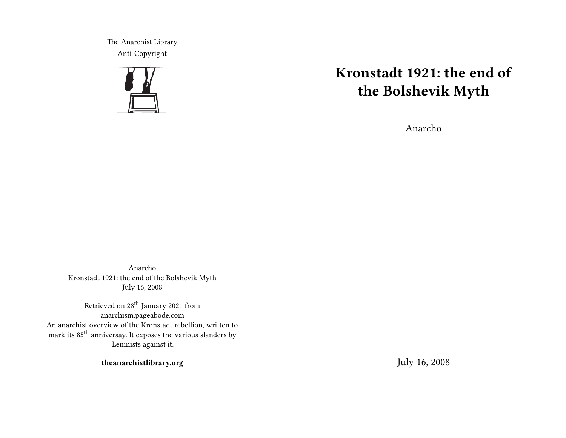The Anarchist Library Anti-Copyright



# **Kronstadt 1921: the end of the Bolshevik Myth**

Anarcho

Anarcho Kronstadt 1921: the end of the Bolshevik Myth July 16, 2008

Retrieved on 28<sup>th</sup> January 2021 from anarchism.pageabode.com An anarchist overview of the Kronstadt rebellion, written to mark its 85<sup>th</sup> anniversay. It exposes the various slanders by Leninists against it.

**theanarchistlibrary.org**

July 16, 2008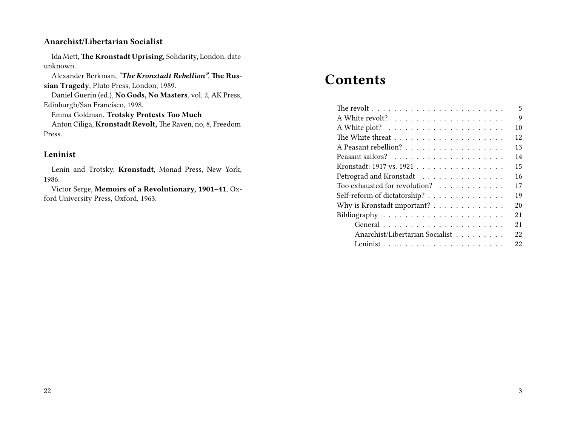#### **Anarchist/Libertarian Socialist**

Ida Mett, **The Kronstadt Uprising,** Solidarity, London, date unknown.

Alexander Berkman, *"The Kronstadt Rebellion"*, **The Russian Tragedy**, Pluto Press, London, 1989.

Daniel Guerin (ed.), **No Gods, No Masters**, vol. 2, AK Press, Edinburgh/San Francisco, 1998.

Emma Goldman, **Trotsky Protests Too Much**

Anton Ciliga, **Kronstadt Revolt,** The Raven, no, 8, Freedom Press.

#### **Leninist**

Lenin and Trotsky, **Kronstadt**, Monad Press, New York, 1986.

Victor Serge, **Memoirs of a Revolutionary, 1901–41**, Oxford University Press, Oxford, 1963.

# **Contents**

| The revolt $\ldots \ldots \ldots \ldots \ldots \ldots \ldots \ldots$ | 5  |
|----------------------------------------------------------------------|----|
|                                                                      | 9  |
|                                                                      | 10 |
|                                                                      | 12 |
| A Peasant rebellion?                                                 | 13 |
|                                                                      | 14 |
| Kronstadt: 1917 vs. 1921                                             | 15 |
| Petrograd and Kronstadt                                              | 16 |
| Too exhausted for revolution?                                        | 17 |
| Self-reform of dictatorship?                                         | 19 |
| Why is Kronstadt important?                                          | 20 |
|                                                                      | 21 |
|                                                                      | 21 |
| Anarchist/Libertarian Socialist                                      | 22 |
|                                                                      | 22 |
|                                                                      |    |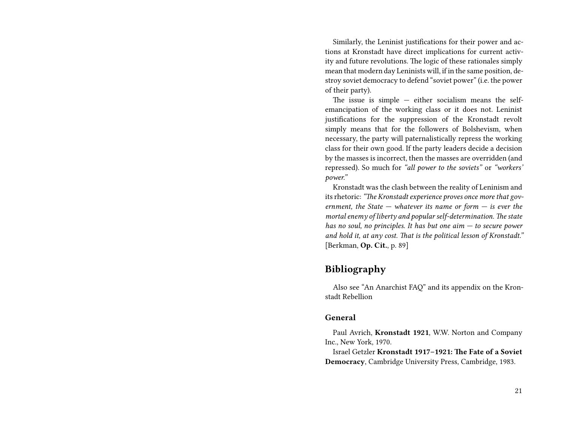Similarly, the Leninist justifications for their power and actions at Kronstadt have direct implications for current activity and future revolutions. The logic of these rationales simply mean that modern day Leninists will, if in the same position, destroy soviet democracy to defend "soviet power" (i.e. the power of their party).

The issue is simple  $-$  either socialism means the selfemancipation of the working class or it does not. Leninist justifications for the suppression of the Kronstadt revolt simply means that for the followers of Bolshevism, when necessary, the party will paternalistically repress the working class for their own good. If the party leaders decide a decision by the masses is incorrect, then the masses are overridden (and repressed). So much for *"all power to the soviets"* or *"workers' power."*

Kronstadt was the clash between the reality of Leninism and its rhetoric:*"The Kronstadt experience proves once more that government, the State — whatever its name or form — is ever the mortal enemy of liberty and popular self-determination. The state has no soul, no principles. It has but one aim — to secure power and hold it, at any cost. That is the political lesson of Kronstadt."* [Berkman, **Op. Cit.**, p. 89]

#### **Bibliography**

Also see "An Anarchist FAQ" and its appendix on the Kronstadt Rebellion

#### **General**

Paul Avrich, **Kronstadt 1921**, W.W. Norton and Company Inc., New York, 1970.

Israel Getzler **Kronstadt 1917–1921: The Fate of a Soviet Democracy**, Cambridge University Press, Cambridge, 1983.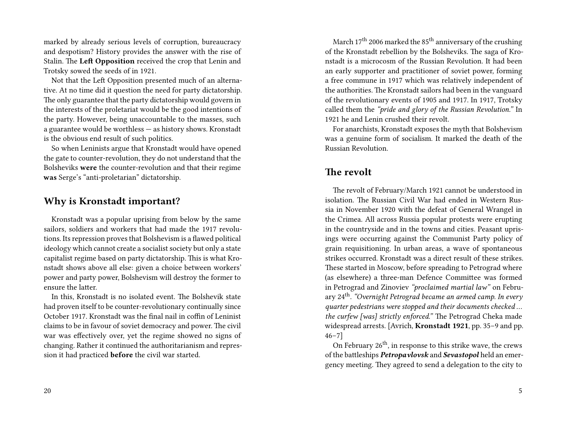marked by already serious levels of corruption, bureaucracy and despotism? History provides the answer with the rise of Stalin. The **Left Opposition** received the crop that Lenin and Trotsky sowed the seeds of in 1921.

Not that the Left Opposition presented much of an alternative. At no time did it question the need for party dictatorship. The only guarantee that the party dictatorship would govern in the interests of the proletariat would be the good intentions of the party. However, being unaccountable to the masses, such a guarantee would be worthless — as history shows. Kronstadt is the obvious end result of such politics.

So when Leninists argue that Kronstadt would have opened the gate to counter-revolution, they do not understand that the Bolsheviks **were** the counter-revolution and that their regime **was** Serge's "anti-proletarian" dictatorship.

#### **Why is Kronstadt important?**

Kronstadt was a popular uprising from below by the same sailors, soldiers and workers that had made the 1917 revolutions. Its repression proves that Bolshevism is a flawed political ideology which cannot create a socialist society but only a state capitalist regime based on party dictatorship. This is what Kronstadt shows above all else: given a choice between workers' power and party power, Bolshevism will destroy the former to ensure the latter.

In this, Kronstadt is no isolated event. The Bolshevik state had proven itself to be counter-revolutionary continually since October 1917. Kronstadt was the final nail in coffin of Leninist claims to be in favour of soviet democracy and power. The civil war was effectively over, yet the regime showed no signs of changing. Rather it continued the authoritarianism and repression it had practiced **before** the civil war started.

March  $17<sup>th</sup>$  2006 marked the 85<sup>th</sup> anniversary of the crushing of the Kronstadt rebellion by the Bolsheviks. The saga of Kronstadt is a microcosm of the Russian Revolution. It had been an early supporter and practitioner of soviet power, forming a free commune in 1917 which was relatively independent of the authorities. The Kronstadt sailors had been in the vanguard of the revolutionary events of 1905 and 1917. In 1917, Trotsky called them the *"pride and glory of the Russian Revolution."* In 1921 he and Lenin crushed their revolt.

For anarchists, Kronstadt exposes the myth that Bolshevism was a genuine form of socialism. It marked the death of the Russian Revolution.

### **The revolt**

The revolt of February/March 1921 cannot be understood in isolation. The Russian Civil War had ended in Western Russia in November 1920 with the defeat of General Wrangel in the Crimea. All across Russia popular protests were erupting in the countryside and in the towns and cities. Peasant uprisings were occurring against the Communist Party policy of grain requisitioning. In urban areas, a wave of spontaneous strikes occurred. Kronstadt was a direct result of these strikes. These started in Moscow, before spreading to Petrograd where (as elsewhere) a three-man Defence Committee was formed in Petrograd and Zinoviev *"proclaimed martial law"* on February 24th . *"Overnight Petrograd became an armed camp. In every quarter pedestrians were stopped and their documents checked … the curfew [was] strictly enforced."* The Petrograd Cheka made widespread arrests. [Avrich, **Kronstadt 1921**, pp. 35–9 and pp. 46–7]

On February  $26<sup>th</sup>$ , in response to this strike wave, the crews of the battleships *Petropavlovsk* and *Sevastopol* held an emergency meeting. They agreed to send a delegation to the city to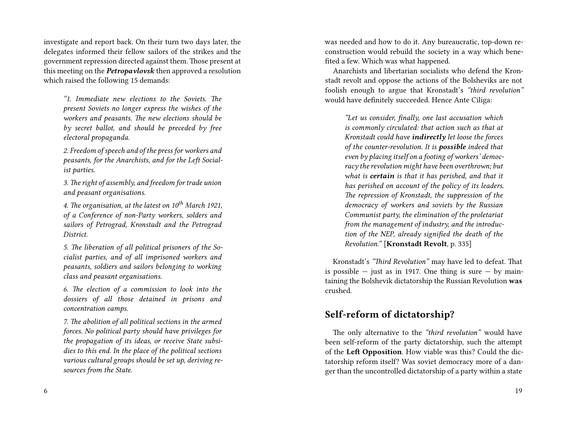investigate and report back. On their turn two days later, the delegates informed their fellow sailors of the strikes and the government repression directed against them. Those present at this meeting on the *Petropavlovsk* then approved a resolution which raised the following 15 demands:

*"1. Immediate new elections to the Soviets. The present Soviets no longer express the wishes of the workers and peasants. The new elections should be by secret ballot, and should be preceded by free electoral propaganda.*

*2. Freedom of speech and of the press for workers and peasants, for the Anarchists, and for the Left Socialist parties.*

*3. The right of assembly, and freedom for trade union and peasant organisations.*

*4. The organisation, at the latest on 10th March 1921, of a Conference of non-Party workers, solders and sailors of Petrograd, Kronstadt and the Petrograd District.*

*5. The liberation of all political prisoners of the Socialist parties, and of all imprisoned workers and peasants, soldiers and sailors belonging to working class and peasant organisations.*

*6. The election of a commission to look into the dossiers of all those detained in prisons and concentration camps.*

*7. The abolition of all political sections in the armed forces. No political party should have privileges for the propagation of its ideas, or receive State subsidies to this end. In the place of the political sections various cultural groups should be set up, deriving resources from the State.*

6

was needed and how to do it. Any bureaucratic, top-down reconstruction would rebuild the society in a way which benefited a few. Which was what happened.

Anarchists and libertarian socialists who defend the Kronstadt revolt and oppose the actions of the Bolsheviks are not foolish enough to argue that Kronstadt's *"third revolution"* would have definitely succeeded. Hence Ante Ciliga:

*"Let us consider, finally, one last accusation which is commonly circulated: that action such as that at Kronstadt could have indirectly let loose the forces of the counter-revolution. It is possible indeed that even by placing itself on a footing of workers' democracy the revolution might have been overthrown; but what is certain is that it has perished, and that it has perished on account of the policy of its leaders. The repression of Kronstadt, the suppression of the democracy of workers and soviets by the Russian Communist party, the elimination of the proletariat from the management of industry, and the introduction of the NEP, already signified the death of the Revolution."* [**Kronstadt Revolt**, p. 335]

Kronstadt's *"Third Revolution"* may have led to defeat. That is possible  $-$  just as in 1917. One thing is sure  $-$  by maintaining the Bolshevik dictatorship the Russian Revolution **was** crushed.

## **Self-reform of dictatorship?**

The only alternative to the *"third revolution"* would have been self-reform of the party dictatorship, such the attempt of the **Left Opposition**. How viable was this? Could the dictatorship reform itself? Was soviet democracy more of a danger than the uncontrolled dictatorship of a party within a state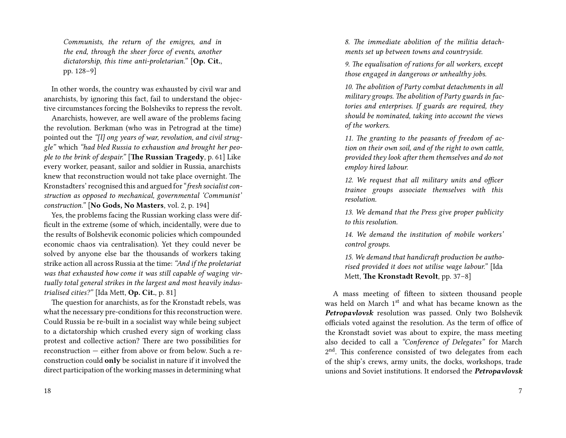*Communists, the return of the emigres, and in the end, through the sheer force of events, another dictatorship, this time anti-proletarian."* [**Op. Cit.**, pp. 128–9]

In other words, the country was exhausted by civil war and anarchists, by ignoring this fact, fail to understand the objective circumstances forcing the Bolsheviks to repress the revolt.

Anarchists, however, are well aware of the problems facing the revolution. Berkman (who was in Petrograd at the time) pointed out the *"[l] ong years of war, revolution, and civil struggle"* which *"had bled Russia to exhaustion and brought her people to the brink of despair."* [**The Russian Tragedy**, p. 61] Like every worker, peasant, sailor and soldier in Russia, anarchists knew that reconstruction would not take place overnight. The Kronstadters' recognised this and argued for "*fresh socialist construction as opposed to mechanical, governmental 'Communist' construction."* [**No Gods, No Masters**, vol. 2, p. 194]

Yes, the problems facing the Russian working class were difficult in the extreme (some of which, incidentally, were due to the results of Bolshevik economic policies which compounded economic chaos via centralisation). Yet they could never be solved by anyone else bar the thousands of workers taking strike action all across Russia at the time: *"And if the proletariat was that exhausted how come it was still capable of waging virtually total general strikes in the largest and most heavily industrialised cities?"* [Ida Mett, **Op. Cit.**, p. 81]

The question for anarchists, as for the Kronstadt rebels, was what the necessary pre-conditions for this reconstruction were. Could Russia be re-built in a socialist way while being subject to a dictatorship which crushed every sign of working class protest and collective action? There are two possibilities for reconstruction — either from above or from below. Such a reconstruction could **only** be socialist in nature if it involved the direct participation of the working masses in determining what

*8. The immediate abolition of the militia detachments set up between towns and countryside.*

*9. The equalisation of rations for all workers, except those engaged in dangerous or unhealthy jobs.*

*10. The abolition of Party combat detachments in all military groups. The abolition of Party guards in factories and enterprises. If guards are required, they should be nominated, taking into account the views of the workers.*

*11. The granting to the peasants of freedom of action on their own soil, and of the right to own cattle, provided they look after them themselves and do not employ hired labour.*

*12. We request that all military units and officer trainee groups associate themselves with this resolution.*

*13. We demand that the Press give proper publicity to this resolution.*

*14. We demand the institution of mobile workers' control groups.*

*15. We demand that handicraft production be authorised provided it does not utilise wage labour."* [Ida Mett, **The Kronstadt Revolt**, pp. 37–8]

A mass meeting of fifteen to sixteen thousand people was held on March 1<sup>st</sup> and what has became known as the *Petropavlovsk* resolution was passed. Only two Bolshevik officials voted against the resolution. As the term of office of the Kronstadt soviet was about to expire, the mass meeting also decided to call a *"Conference of Delegates"* for March 2<sup>nd</sup>. This conference consisted of two delegates from each of the ship's crews, army units, the docks, workshops, trade unions and Soviet institutions. It endorsed the *Petropavlovsk*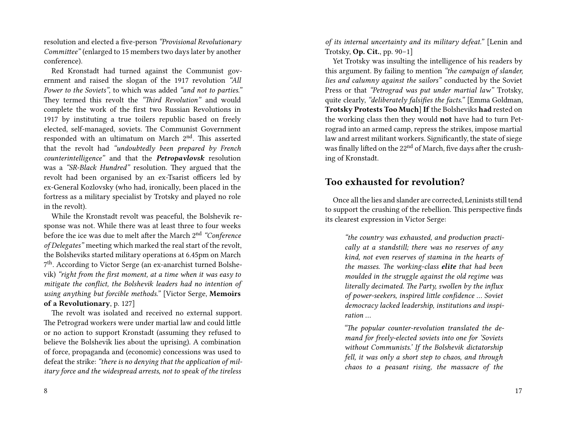resolution and elected a five-person *"Provisional Revolutionary Committee"* (enlarged to 15 members two days later by another conference).

Red Kronstadt had turned against the Communist government and raised the slogan of the 1917 revolution *"All Power to the Soviets"*, to which was added *"and not to parties."* They termed this revolt the *"Third Revolution"* and would complete the work of the first two Russian Revolutions in 1917 by instituting a true toilers republic based on freely elected, self-managed, soviets. The Communist Government responded with an ultimatum on March 2<sup>nd</sup>. This asserted that the revolt had *"undoubtedly been prepared by French counterintelligence"* and that the *Petropavlovsk* resolution was a *"SR-Black Hundred"* resolution. They argued that the revolt had been organised by an ex-Tsarist officers led by ex-General Kozlovsky (who had, ironically, been placed in the fortress as a military specialist by Trotsky and played no role in the revolt).

While the Kronstadt revolt was peaceful, the Bolshevik response was not. While there was at least three to four weeks before the ice was due to melt after the March 2nd *"Conference of Delegates"* meeting which marked the real start of the revolt, the Bolsheviks started military operations at 6.45pm on March 7<sup>th</sup>. According to Victor Serge (an ex-anarchist turned Bolshevik) *"right from the first moment, at a time when it was easy to mitigate the conflict, the Bolshevik leaders had no intention of using anything but forcible methods."* [Victor Serge, **Memoirs of a Revolutionary**, p. 127]

The revolt was isolated and received no external support. The Petrograd workers were under martial law and could little or no action to support Kronstadt (assuming they refused to believe the Bolshevik lies about the uprising). A combination of force, propaganda and (economic) concessions was used to defeat the strike: *"there is no denying that the application of military force and the widespread arrests, not to speak of the tireless*

8

*of its internal uncertainty and its military defeat."* [Lenin and Trotsky, **Op. Cit.**, pp. 90–1]

Yet Trotsky was insulting the intelligence of his readers by this argument. By failing to mention *"the campaign of slander, lies and calumny against the sailors"* conducted by the Soviet Press or that *"Petrograd was put under martial law"* Trotsky, quite clearly, *"deliberately falsifies the facts."* [Emma Goldman, **Trotsky Protests Too Much**] **If** the Bolsheviks **had** rested on the working class then they would **not** have had to turn Petrograd into an armed camp, repress the strikes, impose martial law and arrest militant workers. Significantly, the state of siege was finally lifted on the 22<sup>nd</sup> of March, five days after the crushing of Kronstadt.

#### **Too exhausted for revolution?**

Once all the lies and slander are corrected, Leninists still tend to support the crushing of the rebellion. This perspective finds its clearest expression in Victor Serge:

> *"the country was exhausted, and production practically at a standstill; there was no reserves of any kind, not even reserves of stamina in the hearts of the masses. The working-class elite that had been moulded in the struggle against the old regime was literally decimated. The Party, swollen by the influx of power-seekers, inspired little confidence … Soviet democracy lacked leadership, institutions and inspiration …*

> *"The popular counter-revolution translated the demand for freely-elected soviets into one for 'Soviets without Communists.' If the Bolshevik dictatorship fell, it was only a short step to chaos, and through chaos to a peasant rising, the massacre of the*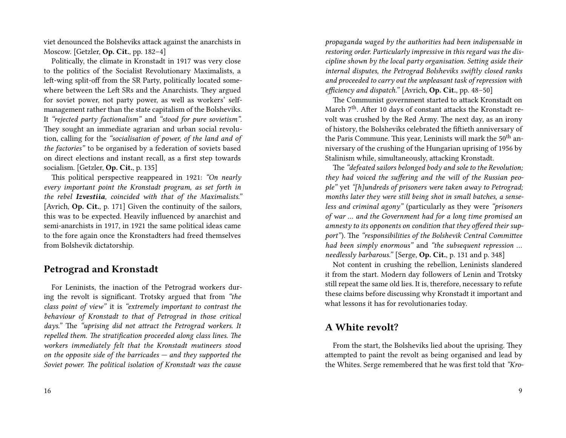viet denounced the Bolsheviks attack against the anarchists in Moscow. [Getzler, **Op. Cit.**, pp. 182–4]

Politically, the climate in Kronstadt in 1917 was very close to the politics of the Socialist Revolutionary Maximalists, a left-wing split-off from the SR Party, politically located somewhere between the Left SRs and the Anarchists. They argued for soviet power, not party power, as well as workers' selfmanagement rather than the state capitalism of the Bolsheviks. It *"rejected party factionalism"* and *"stood for pure sovietism"*. They sought an immediate agrarian and urban social revolution, calling for the *"socialisation of power, of the land and of the factories"* to be organised by a federation of soviets based on direct elections and instant recall, as a first step towards socialism. [Getzler, **Op. Cit.**, p. 135]

This political perspective reappeared in 1921: *"On nearly every important point the Kronstadt program, as set forth in the rebel Izvestiia, coincided with that of the Maximalists."* [Avrich, **Op. Cit.**, p. 171] Given the continuity of the sailors, this was to be expected. Heavily influenced by anarchist and semi-anarchists in 1917, in 1921 the same political ideas came to the fore again once the Kronstadters had freed themselves from Bolshevik dictatorship.

#### **Petrograd and Kronstadt**

For Leninists, the inaction of the Petrograd workers during the revolt is significant. Trotsky argued that from *"the class point of view"* it is *"extremely important to contrast the behaviour of Kronstadt to that of Petrograd in those critical days."* The *"uprising did not attract the Petrograd workers. It repelled them. The stratification proceeded along class lines. The workers immediately felt that the Kronstadt mutineers stood on the opposite side of the barricades — and they supported the Soviet power. The political isolation of Kronstadt was the cause*

*propaganda waged by the authorities had been indispensable in restoring order. Particularly impressive in this regard was the discipline shown by the local party organisation. Setting aside their internal disputes, the Petrograd Bolsheviks swiftly closed ranks and proceeded to carry out the unpleasant task of repression with efficiency and dispatch."* [Avrich, **Op. Cit.**, pp. 48–50]

The Communist government started to attack Kronstadt on March 7<sup>th</sup>. After 10 days of constant attacks the Kronstadt revolt was crushed by the Red Army. The next day, as an irony of history, the Bolsheviks celebrated the fiftieth anniversary of the Paris Commune. This year, Leninists will mark the  $50<sup>th</sup>$  anniversary of the crushing of the Hungarian uprising of 1956 by Stalinism while, simultaneously, attacking Kronstadt.

The *"defeated sailors belonged body and sole to the Revolution; they had voiced the suffering and the will of the Russian people"* yet *"[h]undreds of prisoners were taken away to Petrograd; months later they were still being shot in small batches, a senseless and criminal agony"* (particularly as they were *"prisoners of war … and the Government had for a long time promised an amnesty to its opponents on condition that they offered their support"*). The *"responsibilities of the Bolshevik Central Committee had been simply enormous"* and *"the subsequent repression … needlessly barbarous."* [Serge, **Op. Cit.**, p. 131 and p. 348]

Not content in crushing the rebellion, Leninists slandered it from the start. Modern day followers of Lenin and Trotsky still repeat the same old lies. It is, therefore, necessary to refute these claims before discussing why Kronstadt it important and what lessons it has for revolutionaries today.

### **A White revolt?**

From the start, the Bolsheviks lied about the uprising. They attempted to paint the revolt as being organised and lead by the Whites. Serge remembered that he was first told that *"Kro-*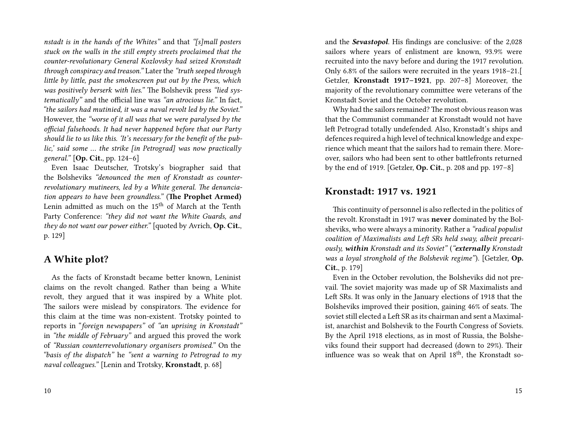*nstadt is in the hands of the Whites"* and that *"[s]mall posters stuck on the walls in the still empty streets proclaimed that the counter-revolutionary General Kozlovsky had seized Kronstadt through conspiracy and treason."* Later the *"truth seeped through little by little, past the smokescreen put out by the Press, which was positively berserk with lies."* The Bolshevik press *"lied systematically"* and the official line was *"an atrocious lie."* In fact, *"the sailors had mutinied, it was a naval revolt led by the Soviet."* However, the *"worse of it all was that we were paralysed by the official falsehoods. It had never happened before that our Party should lie to us like this. 'It's necessary for the benefit of the public,' said some … the strike [in Petrograd] was now practically general."* [**Op. Cit.**, pp. 124–6]

Even Isaac Deutscher, Trotsky's biographer said that the Bolsheviks *"denounced the men of Kronstadt as counterrevolutionary mutineers, led by a White general. The denunciation appears to have been groundless."* (**The Prophet Armed)** Lenin admitted as much on the 15<sup>th</sup> of March at the Tenth Party Conference: *"they did not want the White Guards, and they do not want our power either."* [quoted by Avrich, **Op. Cit.**, p. 129]

#### **A White plot?**

As the facts of Kronstadt became better known, Leninist claims on the revolt changed. Rather than being a White revolt, they argued that it was inspired by a White plot. The sailors were mislead by conspirators. The evidence for this claim at the time was non-existent. Trotsky pointed to reports in "*foreign newspapers"* of *"an uprising in Kronstadt"* in *"the middle of February"* and argued this proved the work of *"Russian counterrevolutionary organisers promised."* On the *"basis of the dispatch"* he *"sent a warning to Petrograd to my naval colleagues."* [Lenin and Trotsky, **Kronstadt**, p. 68]

and the *Sevastopol*. His findings are conclusive: of the 2,028 sailors where years of enlistment are known, 93.9% were recruited into the navy before and during the 1917 revolution. Only 6.8% of the sailors were recruited in the years 1918–21.[ Getzler, **Kronstadt 1917–1921**, pp. 207–8] Moreover, the majority of the revolutionary committee were veterans of the Kronstadt Soviet and the October revolution.

Why had the sailors remained? The most obvious reason was that the Communist commander at Kronstadt would not have left Petrograd totally undefended. Also, Kronstadt's ships and defences required a high level of technical knowledge and experience which meant that the sailors had to remain there. Moreover, sailors who had been sent to other battlefronts returned by the end of 1919. [Getzler, **Op. Cit.**, p. 208 and pp. 197–8]

#### **Kronstadt: 1917 vs. 1921**

This continuity of personnel is also reflected in the politics of the revolt. Kronstadt in 1917 was **never** dominated by the Bolsheviks, who were always a minority. Rather a *"radical populist coalition of Maximalists and Left SRs held sway, albeit precariously, within Kronstadt and its Soviet"* (*"externally Kronstadt was a loyal stronghold of the Bolshevik regime"*). [Getzler, **Op. Cit.**, p. 179]

Even in the October revolution, the Bolsheviks did not prevail. The soviet majority was made up of SR Maximalists and Left SRs. It was only in the January elections of 1918 that the Bolsheviks improved their position, gaining 46% of seats. The soviet still elected a Left SR as its chairman and sent a Maximalist, anarchist and Bolshevik to the Fourth Congress of Soviets. By the April 1918 elections, as in most of Russia, the Bolsheviks found their support had decreased (down to 29%). Their influence was so weak that on April 18<sup>th</sup>, the Kronstadt so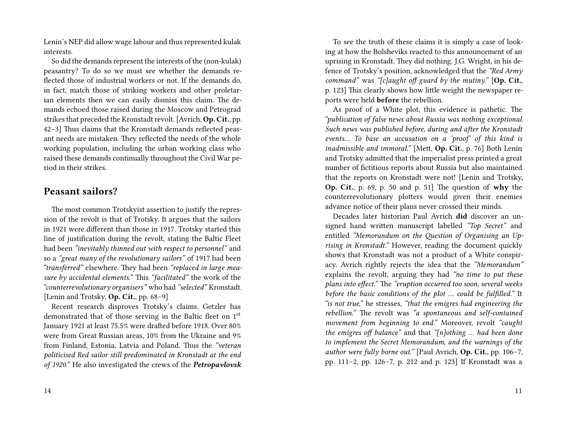Lenin's NEP did allow wage labour and thus represented kulak interests.

So did the demands represent the interests of the (non-kulak) peasantry? To do so we must see whether the demands reflected those of industrial workers or not. If the demands do, in fact, match those of striking workers and other proletarian elements then we can easily dismiss this claim. The demands echoed those raised during the Moscow and Petrograd strikes that preceded the Kronstadt revolt. [Avrich, **Op. Cit.**, pp. 42–3] Thus claims that the Kronstadt demands reflected peasant needs are mistaken. They reflected the needs of the whole working population, including the urban working class who raised these demands continually throughout the Civil War period in their strikes.

#### **Peasant sailors?**

The most common Trotskyist assertion to justify the repression of the revolt is that of Trotsky. It argues that the sailors in 1921 were different than those in 1917. Trotsky started this line of justification during the revolt, stating the Baltic Fleet had been *"inevitably thinned out with respect to personnel"* and so a *"great many of the revolutionary sailors"* of 1917 had been *"transferred"* elsewhere. They had been *"replaced in large measure by accidental elements."* This *"facilitated"* the work of the *"counterrevolutionary organisers"* who had *"selected"* Kronstadt. [Lenin and Trotsky, **Op. Cit.**, pp. 68–9]

Recent research disproves Trotsky's claims. Getzler has demonstrated that of those serving in the Baltic fleet on 1st January 1921 at least 75.5% were drafted before 1918. Over 80% were from Great Russian areas, 10% from the Ukraine and 9% from Finland, Estonia, Latvia and Poland. Thus the *"veteran politicised Red sailor still predominated in Kronstadt at the end of 1920."* He also investigated the crews of the *Petropavlovsk*

To see the truth of these claims it is simply a case of looking at how the Bolsheviks reacted to this announcement of an uprising in Kronstadt. They did nothing. J.G. Wright, in his defence of Trotsky's position, acknowledged that the *"Red Army command"* was *"[c]aught off guard by the mutiny."* [**Op. Cit.**, p. 123] This clearly shows how little weight the newspaper reports were held **before** the rebellion.

As proof of a White plot, this evidence is pathetic. The *"publication of false news about Russia was nothing exceptional. Such news was published before, during and after the Kronstadt events… To base an accusation on a 'proof' of this kind is inadmissible and immoral."* [Mett, **Op. Cit.**, p. 76] Both Lenin and Trotsky admitted that the imperialist press printed a great number of fictitious reports about Russia but also maintained that the reports on Kronstadt were not! [Lenin and Trotsky, **Op. Cit.**, p. 69, p. 50 and p. 51] The question of **why** the counterrevolutionary plotters would given their enemies advance notice of their plans never crossed their minds.

Decades later historian Paul Avrich **did** discover an unsigned hand written manuscript labelled *"Top Secret"* and entitled *"Memorandum on the Question of Organising an Uprising in Kronstadt."* However, reading the document quickly shows that Kronstadt was not a product of a White conspiracy. Avrich rightly rejects the idea that the *"Memorandum"* explains the revolt, arguing they had *"no time to put these plans into effect."* The *"eruption occurred too soon, several weeks before the basic conditions of the plot … could be fulfilled."* It *"is not true,"* he stresses, *"that the emigres had engineering the rebellion."* The revolt was *"a spontaneous and self-contained movement from beginning to end."* Moreover, revolt *"caught the emigres off balance"* and that *"[n]othing … had been done to implement the Secret Memorandum, and the warnings of the author were fully borne out."* [Paul Avrich, **Op. Cit.**, pp. 106–7, pp. 111–2, pp. 126–7, p. 212 and p. 123] If Kronstadt was a